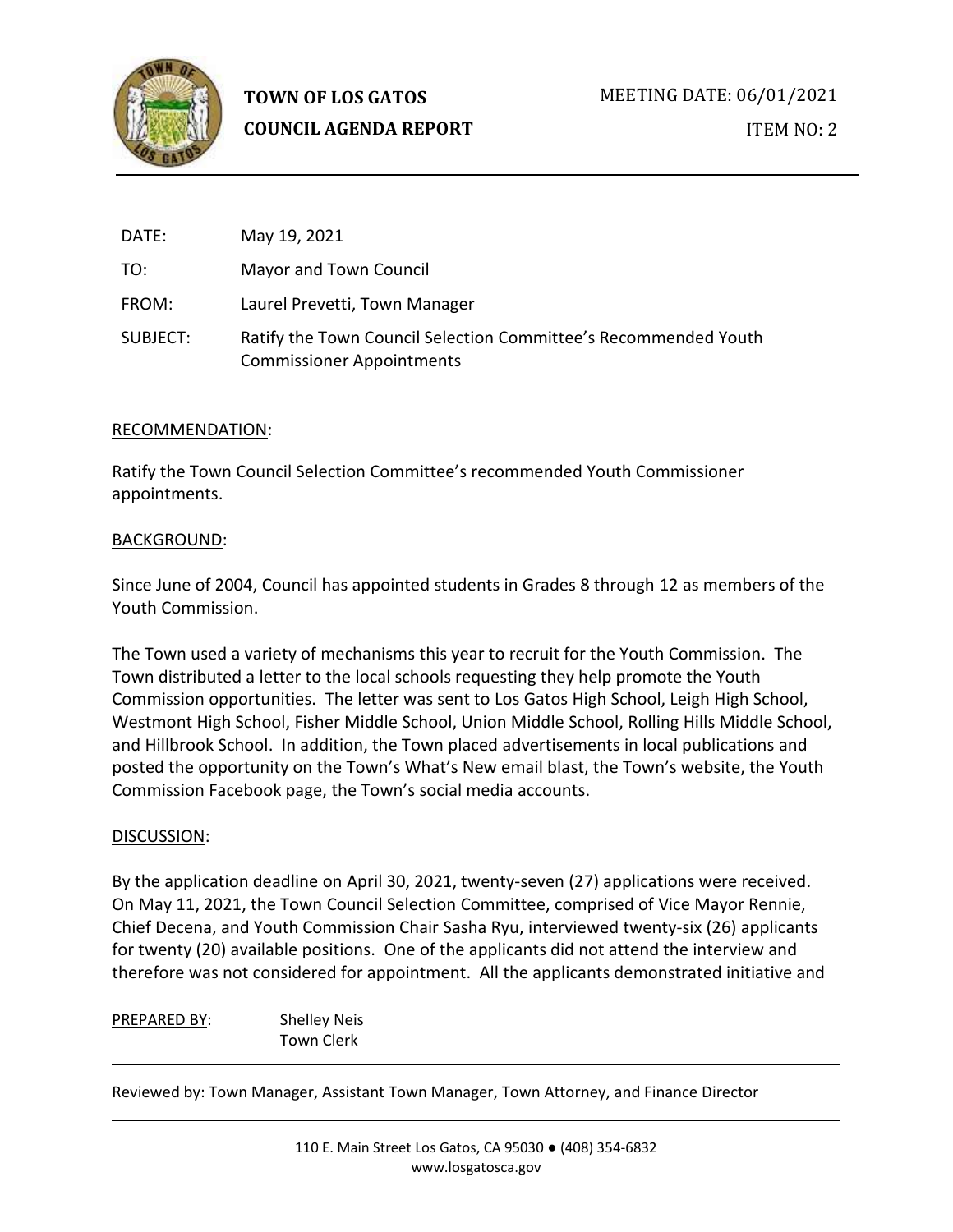

| DATE:    | May 19, 2021                                                                                        |
|----------|-----------------------------------------------------------------------------------------------------|
| TO:      | Mayor and Town Council                                                                              |
| FROM:    | Laurel Prevetti, Town Manager                                                                       |
| SUBJECT: | Ratify the Town Council Selection Committee's Recommended Youth<br><b>Commissioner Appointments</b> |

### RECOMMENDATION:

Ratify the Town Council Selection Committee's recommended Youth Commissioner appointments.

### BACKGROUND:

Since June of 2004, Council has appointed students in Grades 8 through 12 as members of the Youth Commission.

The Town used a variety of mechanisms this year to recruit for the Youth Commission. The Town distributed a letter to the local schools requesting they help promote the Youth Commission opportunities. The letter was sent to Los Gatos High School, Leigh High School, Westmont High School, Fisher Middle School, Union Middle School, Rolling Hills Middle School, and Hillbrook School. In addition, the Town placed advertisements in local publications and posted the opportunity on the Town's What's New email blast, the Town's website, the Youth Commission Facebook page, the Town's social media accounts.

#### DISCUSSION:

By the application deadline on April 30, 2021, twenty-seven (27) applications were received. On May 11, 2021, the Town Council Selection Committee, comprised of Vice Mayor Rennie, Chief Decena, and Youth Commission Chair Sasha Ryu, interviewed twenty-six (26) applicants for twenty (20) available positions. One of the applicants did not attend the interview and therefore was not considered for appointment. All the applicants demonstrated initiative and

PREPARED BY: Shelley Neis Town Clerk

Reviewed by: Town Manager, Assistant Town Manager, Town Attorney, and Finance Director